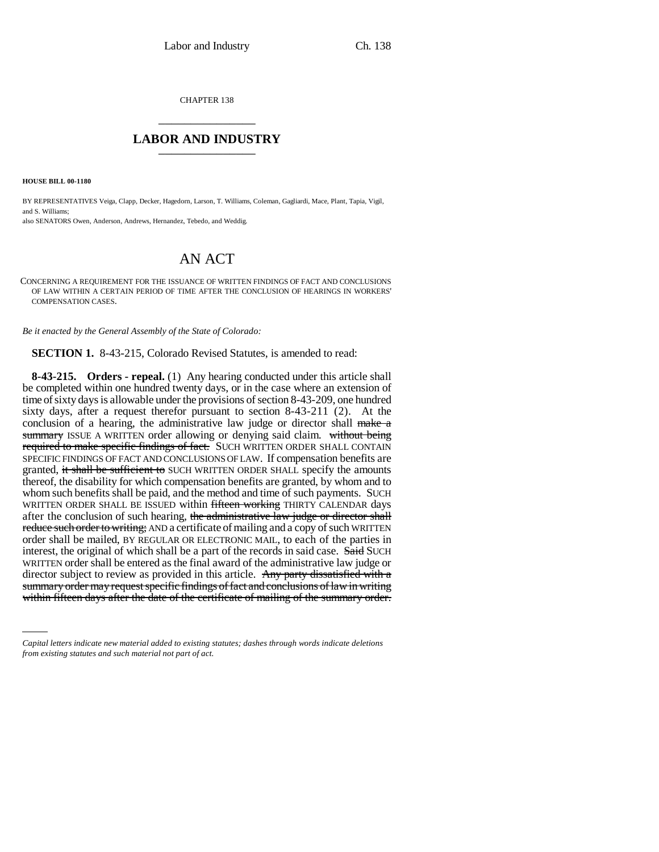CHAPTER 138 \_\_\_\_\_\_\_\_\_\_\_\_\_\_\_

## **LABOR AND INDUSTRY** \_\_\_\_\_\_\_\_\_\_\_\_\_\_\_

**HOUSE BILL 00-1180** 

BY REPRESENTATIVES Veiga, Clapp, Decker, Hagedorn, Larson, T. Williams, Coleman, Gagliardi, Mace, Plant, Tapia, Vigil, and S. Williams; also SENATORS Owen, Anderson, Andrews, Hernandez, Tebedo, and Weddig.

## AN ACT

CONCERNING A REQUIREMENT FOR THE ISSUANCE OF WRITTEN FINDINGS OF FACT AND CONCLUSIONS OF LAW WITHIN A CERTAIN PERIOD OF TIME AFTER THE CONCLUSION OF HEARINGS IN WORKERS' COMPENSATION CASES.

*Be it enacted by the General Assembly of the State of Colorado:*

**SECTION 1.** 8-43-215, Colorado Revised Statutes, is amended to read:

summary order may request specific findings of fact and conclusions of law in writing **8-43-215. Orders - repeal.** (1) Any hearing conducted under this article shall be completed within one hundred twenty days, or in the case where an extension of time of sixty days is allowable under the provisions of section 8-43-209, one hundred sixty days, after a request therefor pursuant to section 8-43-211 (2). At the conclusion of a hearing, the administrative law judge or director shall  $\frac{make}{\ }$ summary ISSUE A WRITTEN order allowing or denying said claim. without being required to make specific findings of fact. SUCH WRITTEN ORDER SHALL CONTAIN SPECIFIC FINDINGS OF FACT AND CONCLUSIONS OF LAW. If compensation benefits are granted, it shall be sufficient to SUCH WRITTEN ORDER SHALL specify the amounts thereof, the disability for which compensation benefits are granted, by whom and to whom such benefits shall be paid, and the method and time of such payments. SUCH WRITTEN ORDER SHALL BE ISSUED within fifteen working THIRTY CALENDAR days after the conclusion of such hearing, the administrative law judge or director shall reduce such order to writing; AND a certificate of mailing and a copy of such WRITTEN order shall be mailed, BY REGULAR OR ELECTRONIC MAIL, to each of the parties in interest, the original of which shall be a part of the records in said case. Said SUCH WRITTEN order shall be entered as the final award of the administrative law judge or director subject to review as provided in this article. Any party dissatisfied with a within fifteen days after the date of the certificate of mailing of the summary order.

*Capital letters indicate new material added to existing statutes; dashes through words indicate deletions from existing statutes and such material not part of act.*